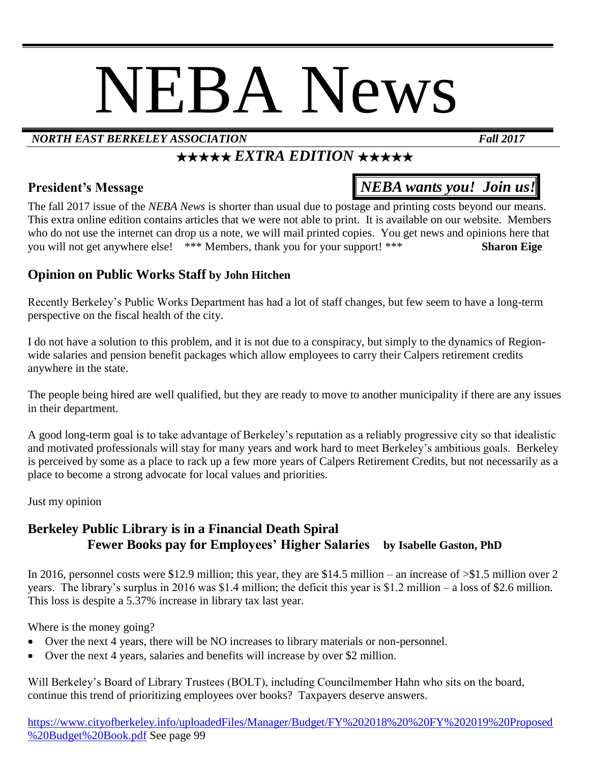# NEBA News

#### *NORTH EAST BERKELEY ASSOCIATION Fall 2017*

### *★★★★★ EXTRA EDITION ★★★★★*

#### **President's Message** *NEBA wants you! Join us!*

The fall 2017 issue of the *NEBA News* is shorter than usual due to postage and printing costs beyond our means. This extra online edition contains articles that we were not able to print. It is available on our website. Members who do not use the internet can drop us a note, we will mail printed copies. You get news and opinions here that you will not get anywhere else! \*\*\* Members, thank you for your support! \*\*\* **Sharon Eige**

#### **Opinion on Public Works Staff by John Hitchen**

Recently Berkeley's Public Works Department has had a lot of staff changes, but few seem to have a long-term perspective on the fiscal health of the city.

I do not have a solution to this problem, and it is not due to a conspiracy, but simply to the dynamics of Regionwide salaries and pension benefit packages which allow employees to carry their Calpers retirement credits anywhere in the state.

The people being hired are well qualified, but they are ready to move to another municipality if there are any issues in their department.

A good long-term goal is to take advantage of Berkeley's reputation as a reliably progressive city so that idealistic and motivated professionals will stay for many years and work hard to meet Berkeley's ambitious goals. Berkeley is perceived by some as a place to rack up a few more years of Calpers Retirement Credits, but not necessarily as a place to become a strong advocate for local values and priorities.

Just my opinion

#### **Berkeley Public Library is in a Financial Death Spiral Fewer Books pay for Employees' Higher Salaries by Isabelle Gaston, PhD**

In 2016, personnel costs were \$12.9 million; this year, they are \$14.5 million – an increase of  $\gg$ \$1.5 million over 2 years. The library's surplus in 2016 was \$1.4 million; the deficit this year is \$1.2 million – a loss of \$2.6 million. This loss is despite a 5.37% increase in library tax last year.

Where is the money going?

- Over the next 4 years, there will be NO increases to library materials or non-personnel.
- Over the next 4 years, salaries and benefits will increase by over \$2 million.

Will Berkeley's Board of Library Trustees (BOLT), including Councilmember Hahn who sits on the board, continue this trend of prioritizing employees over books? Taxpayers deserve answers.

[https://www.cityofberkeley.info/uploadedFiles/Manager/Budget/FY%202018%20%20FY%202019%20Proposed](https://www.cityofberkeley.info/uploadedFiles/Manager/Budget/FY%202018%20%20FY%202019%20Proposed%20Budget%20Book.pdf) [%20Budget%20Book.pdf](https://www.cityofberkeley.info/uploadedFiles/Manager/Budget/FY%202018%20%20FY%202019%20Proposed%20Budget%20Book.pdf) See page 99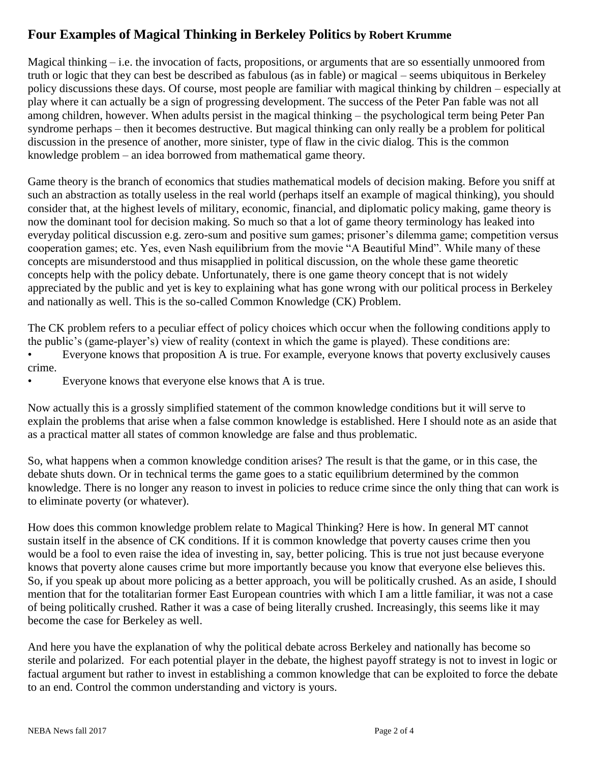#### **Four Examples of Magical Thinking in Berkeley Politics by Robert Krumme**

Magical thinking – i.e. the invocation of facts, propositions, or arguments that are so essentially unmoored from truth or logic that they can best be described as fabulous (as in fable) or magical – seems ubiquitous in Berkeley policy discussions these days. Of course, most people are familiar with magical thinking by children – especially at play where it can actually be a sign of progressing development. The success of the Peter Pan fable was not all among children, however. When adults persist in the magical thinking – the psychological term being Peter Pan syndrome perhaps – then it becomes destructive. But magical thinking can only really be a problem for political discussion in the presence of another, more sinister, type of flaw in the civic dialog. This is the common knowledge problem – an idea borrowed from mathematical game theory.

Game theory is the branch of economics that studies mathematical models of decision making. Before you sniff at such an abstraction as totally useless in the real world (perhaps itself an example of magical thinking), you should consider that, at the highest levels of military, economic, financial, and diplomatic policy making, game theory is now the dominant tool for decision making. So much so that a lot of game theory terminology has leaked into everyday political discussion e.g. zero-sum and positive sum games; prisoner's dilemma game; competition versus cooperation games; etc. Yes, even Nash equilibrium from the movie "A Beautiful Mind". While many of these concepts are misunderstood and thus misapplied in political discussion, on the whole these game theoretic concepts help with the policy debate. Unfortunately, there is one game theory concept that is not widely appreciated by the public and yet is key to explaining what has gone wrong with our political process in Berkeley and nationally as well. This is the so-called Common Knowledge (CK) Problem.

The CK problem refers to a peculiar effect of policy choices which occur when the following conditions apply to the public's (game-player's) view of reality (context in which the game is played). These conditions are:

• Everyone knows that proposition A is true. For example, everyone knows that poverty exclusively causes crime.

Everyone knows that everyone else knows that A is true.

Now actually this is a grossly simplified statement of the common knowledge conditions but it will serve to explain the problems that arise when a false common knowledge is established. Here I should note as an aside that as a practical matter all states of common knowledge are false and thus problematic.

So, what happens when a common knowledge condition arises? The result is that the game, or in this case, the debate shuts down. Or in technical terms the game goes to a static equilibrium determined by the common knowledge. There is no longer any reason to invest in policies to reduce crime since the only thing that can work is to eliminate poverty (or whatever).

How does this common knowledge problem relate to Magical Thinking? Here is how. In general MT cannot sustain itself in the absence of CK conditions. If it is common knowledge that poverty causes crime then you would be a fool to even raise the idea of investing in, say, better policing. This is true not just because everyone knows that poverty alone causes crime but more importantly because you know that everyone else believes this. So, if you speak up about more policing as a better approach, you will be politically crushed. As an aside, I should mention that for the totalitarian former East European countries with which I am a little familiar, it was not a case of being politically crushed. Rather it was a case of being literally crushed. Increasingly, this seems like it may become the case for Berkeley as well.

And here you have the explanation of why the political debate across Berkeley and nationally has become so sterile and polarized. For each potential player in the debate, the highest payoff strategy is not to invest in logic or factual argument but rather to invest in establishing a common knowledge that can be exploited to force the debate to an end. Control the common understanding and victory is yours.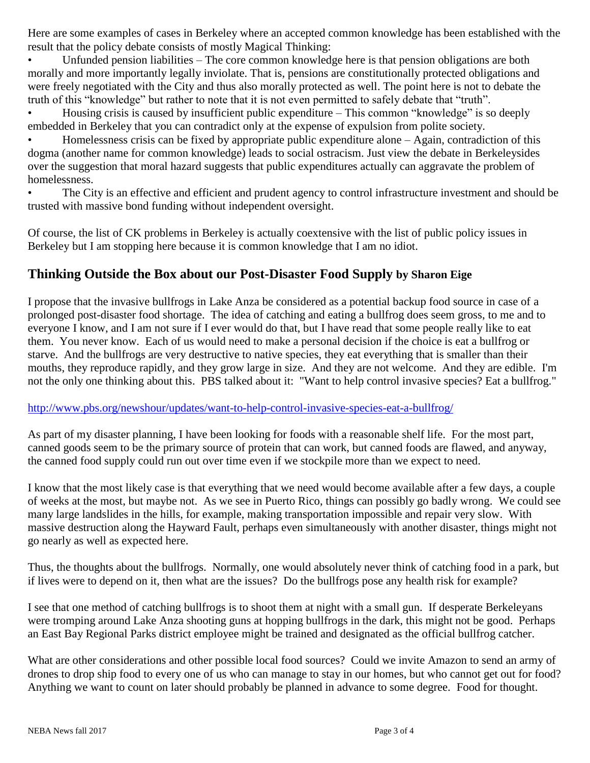Here are some examples of cases in Berkeley where an accepted common knowledge has been established with the result that the policy debate consists of mostly Magical Thinking:

Unfunded pension liabilities – The core common knowledge here is that pension obligations are both morally and more importantly legally inviolate. That is, pensions are constitutionally protected obligations and were freely negotiated with the City and thus also morally protected as well. The point here is not to debate the truth of this "knowledge" but rather to note that it is not even permitted to safely debate that "truth".

• Housing crisis is caused by insufficient public expenditure – This common "knowledge" is so deeply embedded in Berkeley that you can contradict only at the expense of expulsion from polite society.

• Homelessness crisis can be fixed by appropriate public expenditure alone – Again, contradiction of this dogma (another name for common knowledge) leads to social ostracism. Just view the debate in Berkeleysides over the suggestion that moral hazard suggests that public expenditures actually can aggravate the problem of homelessness.

• The City is an effective and efficient and prudent agency to control infrastructure investment and should be trusted with massive bond funding without independent oversight.

Of course, the list of CK problems in Berkeley is actually coextensive with the list of public policy issues in Berkeley but I am stopping here because it is common knowledge that I am no idiot.

#### **Thinking Outside the Box about our Post-Disaster Food Supply by Sharon Eige**

I propose that the invasive bullfrogs in Lake Anza be considered as a potential backup food source in case of a prolonged post-disaster food shortage. The idea of catching and eating a bullfrog does seem gross, to me and to everyone I know, and I am not sure if I ever would do that, but I have read that some people really like to eat them. You never know. Each of us would need to make a personal decision if the choice is eat a bullfrog or starve. And the bullfrogs are very destructive to native species, they eat everything that is smaller than their mouths, they reproduce rapidly, and they grow large in size. And they are not welcome. And they are edible. I'm not the only one thinking about this. PBS talked about it: "Want to help control invasive species? Eat a bullfrog."

#### <http://www.pbs.org/newshour/updates/want-to-help-control-invasive-species-eat-a-bullfrog/>

As part of my disaster planning, I have been looking for foods with a reasonable shelf life. For the most part, canned goods seem to be the primary source of protein that can work, but canned foods are flawed, and anyway, the canned food supply could run out over time even if we stockpile more than we expect to need.

I know that the most likely case is that everything that we need would become available after a few days, a couple of weeks at the most, but maybe not. As we see in Puerto Rico, things can possibly go badly wrong. We could see many large landslides in the hills, for example, making transportation impossible and repair very slow. With massive destruction along the Hayward Fault, perhaps even simultaneously with another disaster, things might not go nearly as well as expected here.

Thus, the thoughts about the bullfrogs. Normally, one would absolutely never think of catching food in a park, but if lives were to depend on it, then what are the issues? Do the bullfrogs pose any health risk for example?

I see that one method of catching bullfrogs is to shoot them at night with a small gun. If desperate Berkeleyans were tromping around Lake Anza shooting guns at hopping bullfrogs in the dark, this might not be good. Perhaps an East Bay Regional Parks district employee might be trained and designated as the official bullfrog catcher.

What are other considerations and other possible local food sources? Could we invite Amazon to send an army of drones to drop ship food to every one of us who can manage to stay in our homes, but who cannot get out for food? Anything we want to count on later should probably be planned in advance to some degree. Food for thought.